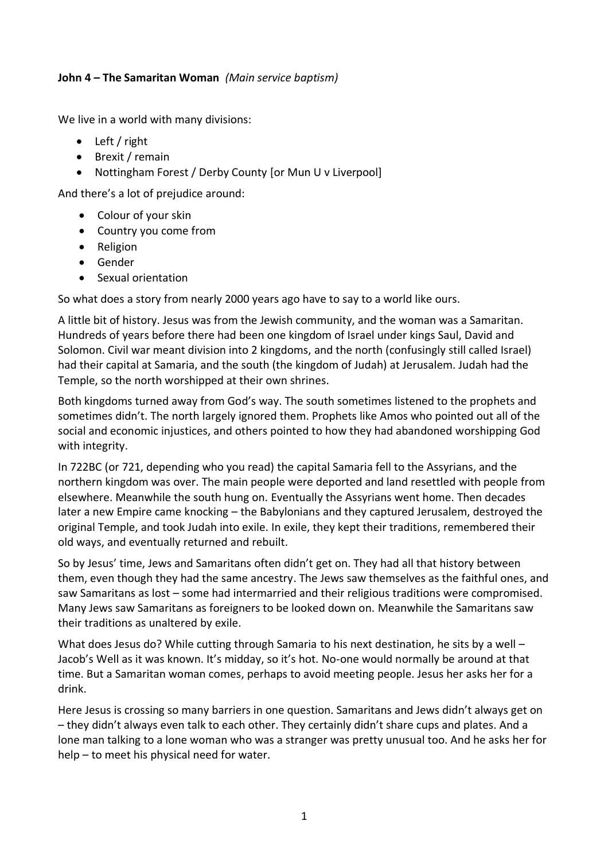## **John 4 – The Samaritan Woman** *(Main service baptism)*

We live in a world with many divisions:

- Left / right
- Brexit / remain
- Nottingham Forest / Derby County [or Mun U v Liverpool]

And there's a lot of prejudice around:

- Colour of your skin
- Country you come from
- Religion
- Gender
- Sexual orientation

So what does a story from nearly 2000 years ago have to say to a world like ours.

A little bit of history. Jesus was from the Jewish community, and the woman was a Samaritan. Hundreds of years before there had been one kingdom of Israel under kings Saul, David and Solomon. Civil war meant division into 2 kingdoms, and the north (confusingly still called Israel) had their capital at Samaria, and the south (the kingdom of Judah) at Jerusalem. Judah had the Temple, so the north worshipped at their own shrines.

Both kingdoms turned away from God's way. The south sometimes listened to the prophets and sometimes didn't. The north largely ignored them. Prophets like Amos who pointed out all of the social and economic injustices, and others pointed to how they had abandoned worshipping God with integrity.

In 722BC (or 721, depending who you read) the capital Samaria fell to the Assyrians, and the northern kingdom was over. The main people were deported and land resettled with people from elsewhere. Meanwhile the south hung on. Eventually the Assyrians went home. Then decades later a new Empire came knocking – the Babylonians and they captured Jerusalem, destroyed the original Temple, and took Judah into exile. In exile, they kept their traditions, remembered their old ways, and eventually returned and rebuilt.

So by Jesus' time, Jews and Samaritans often didn't get on. They had all that history between them, even though they had the same ancestry. The Jews saw themselves as the faithful ones, and saw Samaritans as lost – some had intermarried and their religious traditions were compromised. Many Jews saw Samaritans as foreigners to be looked down on. Meanwhile the Samaritans saw their traditions as unaltered by exile.

What does Jesus do? While cutting through Samaria to his next destination, he sits by a well – Jacob's Well as it was known. It's midday, so it's hot. No-one would normally be around at that time. But a Samaritan woman comes, perhaps to avoid meeting people. Jesus her asks her for a drink.

Here Jesus is crossing so many barriers in one question. Samaritans and Jews didn't always get on – they didn't always even talk to each other. They certainly didn't share cups and plates. And a lone man talking to a lone woman who was a stranger was pretty unusual too. And he asks her for help – to meet his physical need for water.